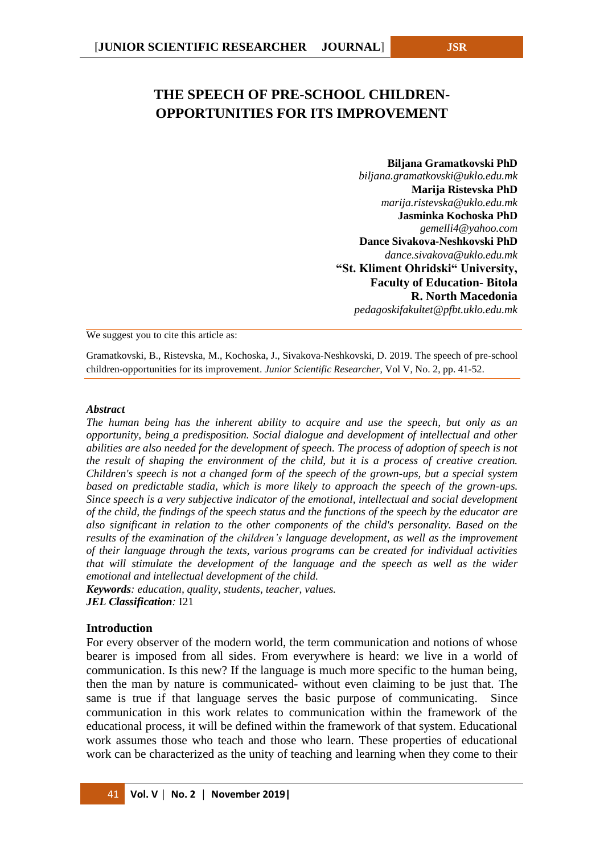# **THE SPEECH OF PRE-SCHOOL CHILDREN-OPPORTUNITIES FOR ITS IMPROVEMENT**

#### **Biljana Gramatkovski PhD**

*biljana.gramatkovski@uklo.edu.mk* **Marija Ristevska PhD**  *marija.ristevska@uklo.edu.mk* **Jasminka Kochoska PhD**  *gemelli4@yahoo.com* **Dance Sivakova-Neshkovski PhD** *dance.sivakova@uklo.edu.mk* **"St. Kliment Ohridski" University, Faculty of Education- Bitola R. North Macedonia** *pedagoskifakultet@pfbt.uklo.edu.mk*

We suggest you to cite this article as:

Gramatkovski, B., Ristevska, M., Kochoska, J., Sivakova-Neshkovski, D. 2019. The speech of pre-school children-opportunities for its improvement. *Junior Scientific Researcher*, Vol V, No. 2, pp. 41-52.

#### *Abstract*

*The human being has the inherent ability to acquire and use the speech, but only as an opportunity, being a predisposition. Social dialogue and development of intellectual and other abilities are also needed for the development of speech. The process of adoption of speech is not the result of shaping the environment of the child, but it is a process of creative creation. Children's speech is not a changed form of the speech of the grown-ups, but a special system*  based on predictable stadia, which is more likely to approach the speech of the grown-ups. *Since speech is a very subjective indicator of the emotional, intellectual and social development of the child, the findings of the speech status and the functions of the speech by the educator are also significant in relation to the other components of the child's personality. Based on the results of the examination of the children's language development, as well as the improvement of their language through the texts, various programs can be created for individual activities that will stimulate the development of the language and the speech as well as the wider emotional and intellectual development of the child.*

*Keywords: education, quality, students, teacher, values. JEL Classification:* I21

#### **Introduction**

For every observer of the modern world, the term communication and notions of whose bearer is imposed from all sides. From everywhere is heard: we live in a world of communication. Is this new? If the language is much more specific to the human being, then the man by nature is communicated- without even claiming to be just that. The same is true if that language serves the basic purpose of communicating. Since communication in this work relates to communication within the framework of the educational process, it will be defined within the framework of that system. Educational work assumes those who teach and those who learn. These properties of educational work can be characterized as the unity of teaching and learning when they come to their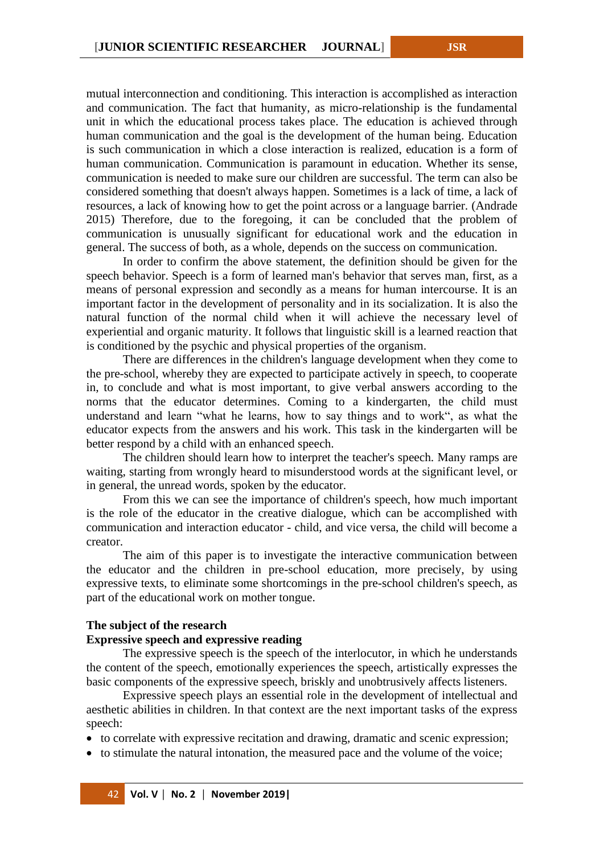mutual interconnection and conditioning. This interaction is accomplished as interaction and communication. The fact that humanity, as micro-relationship is the fundamental unit in which the educational process takes place. The education is achieved through human communication and the goal is the development of the human being. Education is such communication in which a close interaction is realized, education is a form of human communication. Communication is paramount in education. Whether its sense, communication is needed to make sure our children are successful. The term can also be considered something that doesn't always happen. Sometimes is a lack of time, a lack of resources, a lack of knowing how to get the point across or a language barrier. (Andrade 2015) Therefore, due to the foregoing, it can be concluded that the problem of communication is unusually significant for educational work and the education in general. The success of both, as a whole, depends on the success on communication.

In order to confirm the above statement, the definition should be given for the speech behavior. Speech is a form of learned man's behavior that serves man, first, as a means of personal expression and secondly as a means for human intercourse. It is an important factor in the development of personality and in its socialization. It is also the natural function of the normal child when it will achieve the necessary level of experiential and organic maturity. It follows that linguistic skill is a learned reaction that is conditioned by the psychic and physical properties of the organism.

There are differences in the children's language development when they come to the pre-school, whereby they are expected to participate actively in speech, to cooperate in, to conclude and what is most important, to give verbal answers according to the norms that the educator determines. Coming to a kindergarten, the child must understand and learn "what he learns, how to say things and to work", as what the educator expects from the answers and his work. This task in the kindergarten will be better respond by a child with an enhanced speech.

The children should learn how to interpret the teacher's speech. Many ramps are waiting, starting from wrongly heard to misunderstood words at the significant level, or in general, the unread words, spoken by the educator.

From this we can see the importance of children's speech, how much important is the role of the educator in the creative dialogue, which can be accomplished with communication and interaction educator - child, and vice versa, the child will become a creator.

The aim of this paper is to investigate the interactive communication between the educator and the children in pre-school education, more precisely, by using expressive texts, to eliminate some shortcomings in the pre-school children's speech, as part of the educational work on mother tongue.

#### **The subject of the research**

#### **Expressive speech and expressive reading**

The expressive speech is the speech of the interlocutor, in which he understands the content of the speech, emotionally experiences the speech, artistically expresses the basic components of the expressive speech, briskly and unobtrusively affects listeners.

Expressive speech plays an essential role in the development of intellectual and aesthetic abilities in children. In that context are the next important tasks of the express speech:

• to correlate with expressive recitation and drawing, dramatic and scenic expression;

• to stimulate the natural intonation, the measured pace and the volume of the voice;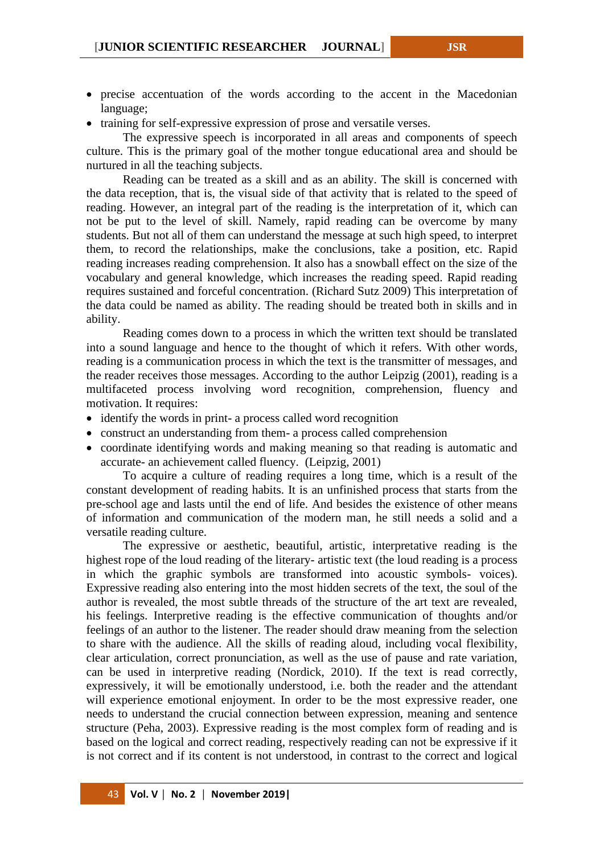- precise accentuation of the words according to the accent in the Macedonian language;
- training for self-expressive expression of prose and versatile verses.

The expressive speech is incorporated in all areas and components of speech culture. This is the primary goal of the mother tongue educational area and should be nurtured in all the teaching subjects.

Reading can be treated as a skill and as an ability. The skill is concerned with the data reception, that is, the visual side of that activity that is related to the speed of reading. However, an integral part of the reading is the interpretation of it, which can not be put to the level of skill. Namely, rapid reading can be overcome by many students. But not all of them can understand the message at such high speed, to interpret them, to record the relationships, make the conclusions, take a position, etc. Rapid reading increases reading comprehension. It also has a snowball effect on the size of the vocabulary and general knowledge, which increases the reading speed. Rapid reading requires sustained and forceful concentration. (Richard Sutz 2009) This interpretation of the data could be named as ability. The reading should be treated both in skills and in ability.

Reading comes down to a process in which the written text should be translated into a sound language and hence to the thought of which it refers. With other words, reading is a communication process in which the text is the transmitter of messages, and the reader receives those messages. According to the author Leipzig (2001), reading is a multifaceted process involving word recognition, comprehension, fluency and motivation. It requires:

- identify the words in print- a process called word recognition
- construct an understanding from them- a process called comprehension
- coordinate identifying words and making meaning so that reading is automatic and accurate- an achievement called fluency. (Leipzig, 2001)

To acquire a culture of reading requires a long time, which is a result of the constant development of reading habits. It is an unfinished process that starts from the pre-school age and lasts until the end of life. And besides the existence of other means of information and communication of the modern man, he still needs a solid and a versatile reading culture.

The expressive or aesthetic, beautiful, artistic, interpretative reading is the highest rope of the loud reading of the literary- artistic text (the loud reading is a process in which the graphic symbols are transformed into acoustic symbols- voices). Expressive reading also entering into the most hidden secrets of the text, the soul of the author is revealed, the most subtle threads of the structure of the art text are revealed, his feelings. Interpretive reading is the effective communication of thoughts and/or feelings of an author to the listener. The reader should draw meaning from the selection to share with the audience. All the skills of reading aloud, including vocal flexibility, clear articulation, correct pronunciation, as well as the use of pause and rate variation, can be used in interpretive reading (Nordick, 2010). If the text is read correctly, expressively, it will be emotionally understood, i.e. both the reader and the attendant will experience emotional enjoyment. In order to be the most expressive reader, one needs to understand the crucial connection between expression, meaning and sentence structure (Peha, 2003). Expressive reading is the most complex form of reading and is based on the logical and correct reading, respectively reading can not be expressive if it is not correct and if its content is not understood, in contrast to the correct and logical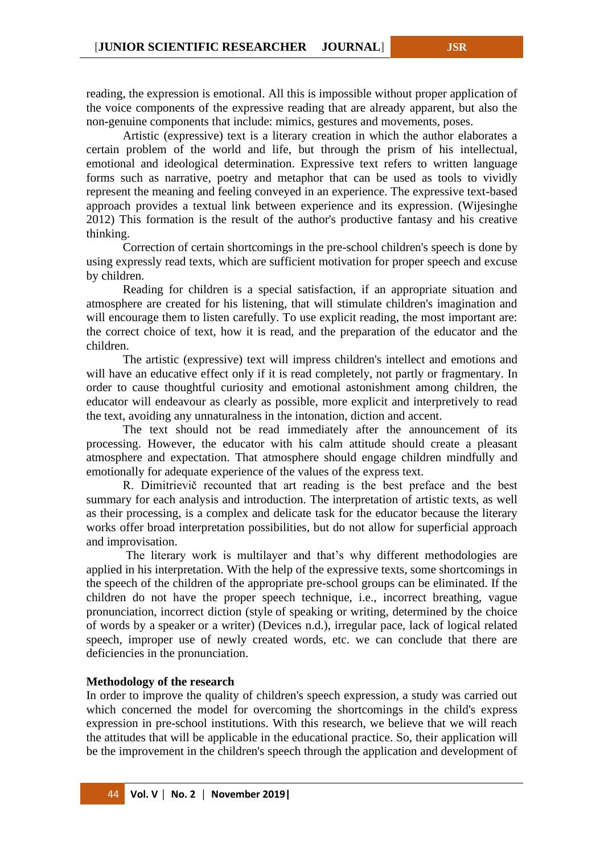reading, the expression is emotional. All this is impossible without proper application of the voice components of the expressive reading that are already apparent, but also the non-genuine components that include: mimics, gestures and movements, poses.

Artistic (expressive) text is a literary creation in which the author elaborates a certain problem of the world and life, but through the prism of his intellectual, emotional and ideological determination. Expressive text refers to written language forms such as narrative, poetry and metaphor that can be used as tools to vividly represent the meaning and feeling conveyed in an experience. The expressive text-based approach provides a textual link between experience and its expression. (Wijesinghe 2012) This formation is the result of the author's productive fantasy and his creative thinking.

Correction of certain shortcomings in the pre-school children's speech is done by using expressly read texts, which are sufficient motivation for proper speech and excuse by children.

Reading for children is a special satisfaction, if an appropriate situation and atmosphere are created for his listening, that will stimulate children's imagination and will encourage them to listen carefully. To use explicit reading, the most important are: the correct choice of text, how it is read, and the preparation of the educator and the children.

The artistic (expressive) text will impress children's intellect and emotions and will have an educative effect only if it is read completely, not partly or fragmentary. In order to cause thoughtful curiosity and emotional astonishment among children, the educator will endeavour as clearly as possible, more explicit and interpretively to read the text, avoiding any unnaturalness in the intonation, diction and accent.

The text should not be read immediately after the announcement of its processing. However, the educator with his calm attitude should create a pleasant atmosphere and expectation. That atmosphere should engage children mindfully and emotionally for adequate experience of the values of the express text.

R. Dimitrievič recounted that art reading is the best preface and the best summary for each analysis and introduction. The interpretation of artistic texts, as well as their processing, is a complex and delicate task for the educator because the literary works offer broad interpretation possibilities, but do not allow for superficial approach and improvisation.

The literary work is multilayer and that's why different methodologies are applied in his interpretation. With the help of the expressive texts, some shortcomings in the speech of the children of the appropriate pre-school groups can be eliminated. If the children do not have the proper speech technique, i.e., incorrect breathing, vague pronunciation, incorrect diction [\(style](https://literarydevices.net/style/) of speaking or writing, determined by the choice of words by a [speaker](https://literarydevices.net/speaker/) or a writer) (Devices n.d.), irregular pace, lack of logical related speech, improper use of newly created words, etc. we can conclude that there are deficiencies in the pronunciation.

#### **Methodology of the research**

In order to improve the quality of children's speech expression, a study was carried out which concerned the model for overcoming the shortcomings in the child's express expression in pre-school institutions. With this research, we believe that we will reach the attitudes that will be applicable in the educational practice. So, their application will be the improvement in the children's speech through the application and development of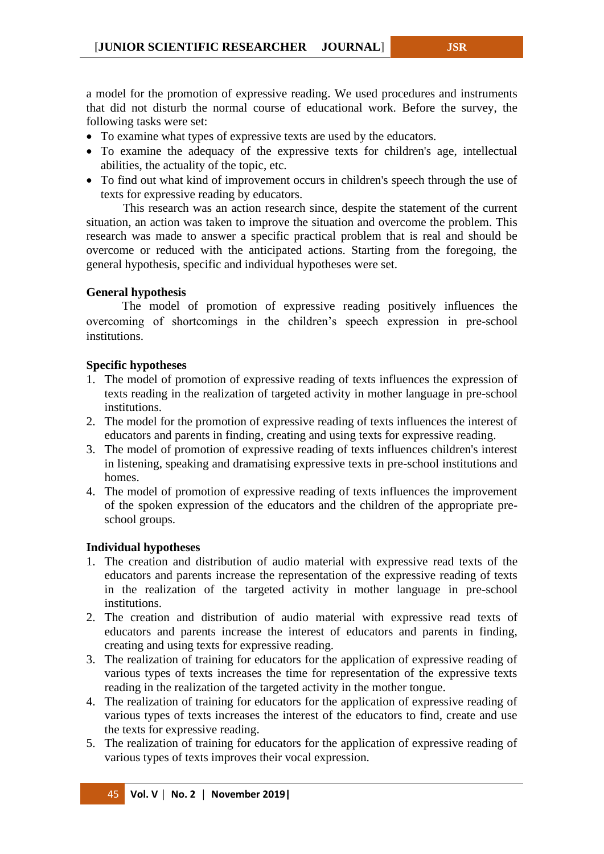a model for the promotion of expressive reading. We used procedures and instruments that did not disturb the normal course of educational work. Before the survey, the following tasks were set:

- To examine what types of expressive texts are used by the educators.
- To examine the adequacy of the expressive texts for children's age, intellectual abilities, the actuality of the topic, etc.
- To find out what kind of improvement occurs in children's speech through the use of texts for expressive reading by educators.

This research was an action research since, despite the statement of the current situation, an action was taken to improve the situation and overcome the problem. This research was made to answer a specific practical problem that is real and should be overcome or reduced with the anticipated actions. Starting from the foregoing, the general hypothesis, specific and individual hypotheses were set.

# **General hypothesis**

The model of promotion of expressive reading positively influences the overcoming of shortcomings in the children's speech expression in pre-school institutions.

## **Specific hypotheses**

- 1. The model of promotion of expressive reading of texts influences the expression of texts reading in the realization of targeted activity in mother language in pre-school institutions.
- 2. The model for the promotion of expressive reading of texts influences the interest of educators and parents in finding, creating and using texts for expressive reading.
- 3. The model of promotion of expressive reading of texts influences children's interest in listening, speaking and dramatising expressive texts in pre-school institutions and homes.
- 4. The model of promotion of expressive reading of texts influences the improvement of the spoken expression of the educators and the children of the appropriate preschool groups.

# **Individual hypotheses**

- 1. The creation and distribution of audio material with expressive read texts of the educators and parents increase the representation of the expressive reading of texts in the realization of the targeted activity in mother language in pre-school institutions.
- 2. The creation and distribution of audio material with expressive read texts of educators and parents increase the interest of educators and parents in finding, creating and using texts for expressive reading.
- 3. The realization of training for educators for the application of expressive reading of various types of texts increases the time for representation of the expressive texts reading in the realization of the targeted activity in the mother tongue.
- 4. The realization of training for educators for the application of expressive reading of various types of texts increases the interest of the educators to find, create and use the texts for expressive reading.
- 5. The realization of training for educators for the application of expressive reading of various types of texts improves their vocal expression.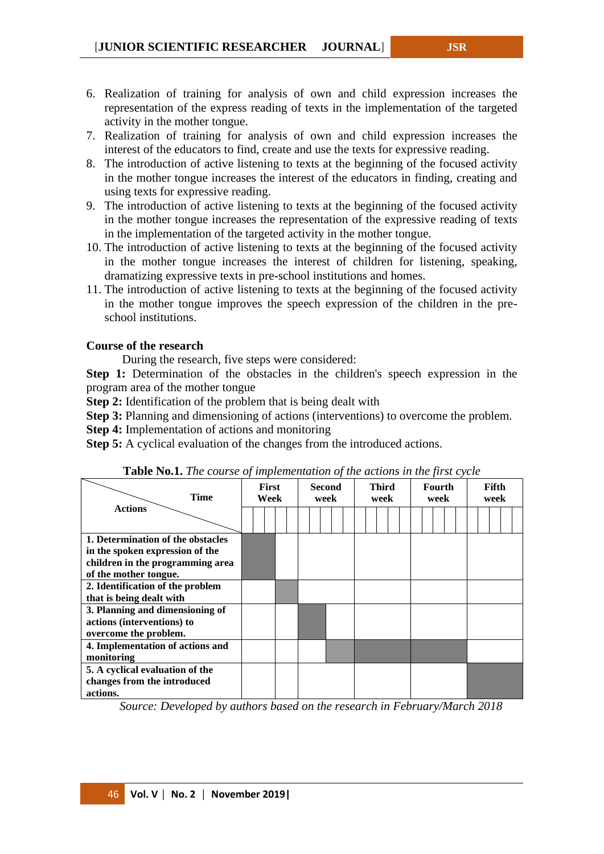- 6. Realization of training for analysis of own and child expression increases the representation of the express reading of texts in the implementation of the targeted activity in the mother tongue.
- 7. Realization of training for analysis of own and child expression increases the interest of the educators to find, create and use the texts for expressive reading.
- 8. The introduction of active listening to texts at the beginning of the focused activity in the mother tongue increases the interest of the educators in finding, creating and using texts for expressive reading.
- 9. The introduction of active listening to texts at the beginning of the focused activity in the mother tongue increases the representation of the expressive reading of texts in the implementation of the targeted activity in the mother tongue.
- 10. The introduction of active listening to texts at the beginning of the focused activity in the mother tongue increases the interest of children for listening, speaking, dramatizing expressive texts in pre-school institutions and homes.
- 11. The introduction of active listening to texts at the beginning of the focused activity in the mother tongue improves the speech expression of the children in the preschool institutions.

## **Course of the research**

During the research, five steps were considered:

**Step 1:** Determination of the obstacles in the children's speech expression in the program area of the mother tongue

**Step 2:** Identification of the problem that is being dealt with

**Step 3:** Planning and dimensioning of actions (interventions) to overcome the problem.

**Step 4:** Implementation of actions and monitoring

**Step 5:** A cyclical evaluation of the changes from the introduced actions.

| <b>Time</b>                       | <b>First</b><br>Second<br>Week<br>week |  | <b>Third</b><br>week |  | Fourth<br>week |  | Fifth<br>week |  |  |  |  |
|-----------------------------------|----------------------------------------|--|----------------------|--|----------------|--|---------------|--|--|--|--|
| <b>Actions</b>                    |                                        |  |                      |  |                |  |               |  |  |  |  |
| 1. Determination of the obstacles |                                        |  |                      |  |                |  |               |  |  |  |  |
| in the spoken expression of the   |                                        |  |                      |  |                |  |               |  |  |  |  |
| children in the programming area  |                                        |  |                      |  |                |  |               |  |  |  |  |
| of the mother tongue.             |                                        |  |                      |  |                |  |               |  |  |  |  |
| 2. Identification of the problem  |                                        |  |                      |  |                |  |               |  |  |  |  |
| that is being dealt with          |                                        |  |                      |  |                |  |               |  |  |  |  |
| 3. Planning and dimensioning of   |                                        |  |                      |  |                |  |               |  |  |  |  |
| actions (interventions) to        |                                        |  |                      |  |                |  |               |  |  |  |  |
| overcome the problem.             |                                        |  |                      |  |                |  |               |  |  |  |  |
| 4. Implementation of actions and  |                                        |  |                      |  |                |  |               |  |  |  |  |
| monitoring                        |                                        |  |                      |  |                |  |               |  |  |  |  |
| 5. A cyclical evaluation of the   |                                        |  |                      |  |                |  |               |  |  |  |  |
| changes from the introduced       |                                        |  |                      |  |                |  |               |  |  |  |  |
| actions.                          |                                        |  |                      |  |                |  |               |  |  |  |  |

**Table No.1.** *The course of implementation of the actions in the first cycle*

*Source: Developed by authors based on the research in February/March 2018*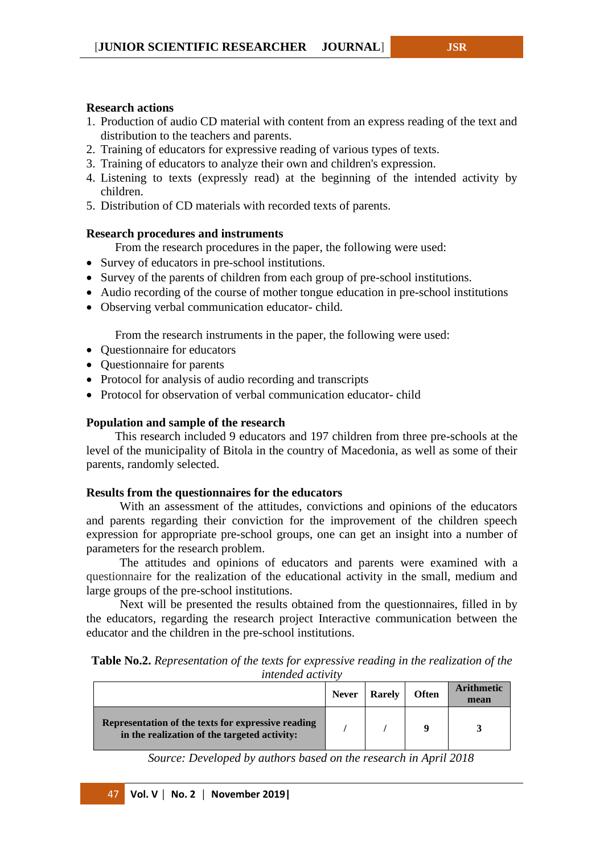## **Research actions**

- 1. Production of audio CD material with content from an express reading of the text and distribution to the teachers and parents.
- 2. Training of educators for expressive reading of various types of texts.
- 3. Training of educators to analyze their own and children's expression.
- 4. Listening to texts (expressly read) at the beginning of the intended activity by children.
- 5. Distribution of CD materials with recorded texts of parents.

## **Research procedures and instruments**

From the research procedures in the paper, the following were used:

- Survey of educators in pre-school institutions.
- Survey of the parents of children from each group of pre-school institutions.
- Audio recording of the course of mother tongue education in pre-school institutions
- Observing verbal communication educator- child.

From the research instruments in the paper, the following were used:

- Questionnaire for educators
- Questionnaire for parents
- Protocol for analysis of audio recording and transcripts
- Protocol for observation of verbal communication educator- child

#### **Population and sample of the research**

This research included 9 educators and 197 children from three pre-schools at the level of the municipality of Bitola in the country of Macedonia, as well as some of their parents, randomly selected.

#### **Results from the questionnaires for the educators**

With an assessment of the attitudes, convictions and opinions of the educators and parents regarding their conviction for the improvement of the children speech expression for appropriate pre-school groups, one can get an insight into a number of parameters for the research problem.

The attitudes and opinions of educators and parents were examined with a questionnaire for the realization of the educational activity in the small, medium and large groups of the pre-school institutions.

Next will be presented the results obtained from the questionnaires, filled in by the educators, regarding the research project Interactive communication between the educator and the children in the pre-school institutions.

| <b>Table No.2.</b> Representation of the texts for expressive reading in the realization of the |  |                          |  |  |
|-------------------------------------------------------------------------------------------------|--|--------------------------|--|--|
|                                                                                                 |  | <i>intended activity</i> |  |  |

|                                                                                                    | <b>Never</b> | <b>Rarely</b> | <b>Often</b> | <b>Arithmetic</b><br>mean |
|----------------------------------------------------------------------------------------------------|--------------|---------------|--------------|---------------------------|
| Representation of the texts for expressive reading<br>in the realization of the targeted activity: |              |               |              |                           |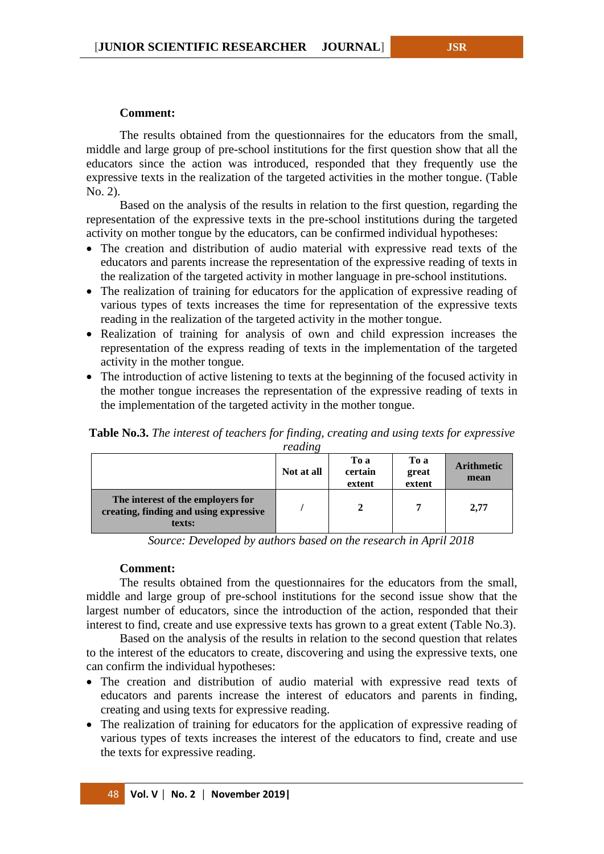#### **Comment:**

The results obtained from the questionnaires for the educators from the small, middle and large group of pre-school institutions for the first question show that all the educators since the action was introduced, responded that they frequently use the expressive texts in the realization of the targeted activities in the mother tongue. (Table No. 2).

Based on the analysis of the results in relation to the first question, regarding the representation of the expressive texts in the pre-school institutions during the targeted activity on mother tongue by the educators, can be confirmed individual hypotheses:

- The creation and distribution of audio material with expressive read texts of the educators and parents increase the representation of the expressive reading of texts in the realization of the targeted activity in mother language in pre-school institutions.
- The realization of training for educators for the application of expressive reading of various types of texts increases the time for representation of the expressive texts reading in the realization of the targeted activity in the mother tongue.
- Realization of training for analysis of own and child expression increases the representation of the express reading of texts in the implementation of the targeted activity in the mother tongue.
- The introduction of active listening to texts at the beginning of the focused activity in the mother tongue increases the representation of the expressive reading of texts in the implementation of the targeted activity in the mother tongue.

**Table No.3.** *The interest of teachers for finding, creating and using texts for expressive reading*

| reugus                                                                                |            |                           |                         |                           |  |  |  |
|---------------------------------------------------------------------------------------|------------|---------------------------|-------------------------|---------------------------|--|--|--|
|                                                                                       | Not at all | To a<br>certain<br>extent | To a<br>great<br>extent | <b>Arithmetic</b><br>mean |  |  |  |
| The interest of the employers for<br>creating, finding and using expressive<br>texts: |            | 2                         | 7                       | 2.77                      |  |  |  |

*Source: Developed by authors based on the research in April 2018*

# **Comment:**

The results obtained from the questionnaires for the educators from the small, middle and large group of pre-school institutions for the second issue show that the largest number of educators, since the introduction of the action, responded that their interest to find, create and use expressive texts has grown to a great extent (Table No.3).

Based on the analysis of the results in relation to the second question that relates to the interest of the educators to create, discovering and using the expressive texts, one can confirm the individual hypotheses:

- The creation and distribution of audio material with expressive read texts of educators and parents increase the interest of educators and parents in finding, creating and using texts for expressive reading.
- The realization of training for educators for the application of expressive reading of various types of texts increases the interest of the educators to find, create and use the texts for expressive reading.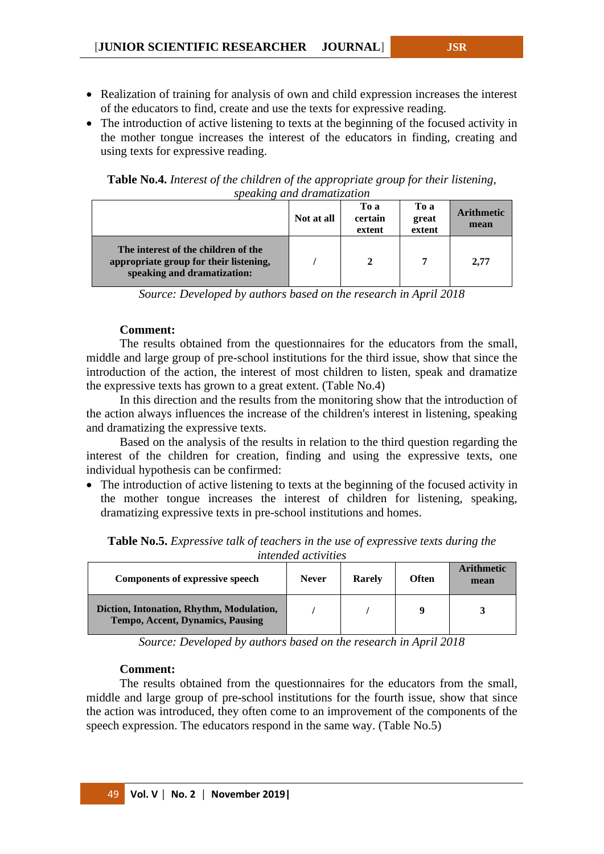- Realization of training for analysis of own and child expression increases the interest of the educators to find, create and use the texts for expressive reading.
- The introduction of active listening to texts at the beginning of the focused activity in the mother tongue increases the interest of the educators in finding, creating and using texts for expressive reading.

**Table No.4.** *Interest of the children of the appropriate group for their listening, speaking and dramatization*

|                                                                                                              | Not at all | To a<br>certain<br>extent | To a<br>great<br>extent | <b>Arithmetic</b><br>mean |
|--------------------------------------------------------------------------------------------------------------|------------|---------------------------|-------------------------|---------------------------|
| The interest of the children of the<br>appropriate group for their listening,<br>speaking and dramatization: |            | 2                         | 7                       | 2,77                      |

*Source: Developed by authors based on the research in April 2018*

## **Comment:**

The results obtained from the questionnaires for the educators from the small, middle and large group of pre-school institutions for the third issue, show that since the introduction of the action, the interest of most children to listen, speak and dramatize the expressive texts has grown to a great extent. (Table No.4)

In this direction and the results from the monitoring show that the introduction of the action always influences the increase of the children's interest in listening, speaking and dramatizing the expressive texts.

Based on the analysis of the results in relation to the third question regarding the interest of the children for creation, finding and using the expressive texts, one individual hypothesis can be confirmed:

• The introduction of active listening to texts at the beginning of the focused activity in the mother tongue increases the interest of children for listening, speaking, dramatizing expressive texts in pre-school institutions and homes.

| <i>nucliaca activities</i>                                                   |              |               |              |                           |  |  |
|------------------------------------------------------------------------------|--------------|---------------|--------------|---------------------------|--|--|
| <b>Components of expressive speech</b>                                       | <b>Never</b> | <b>Rarely</b> | <b>Often</b> | <b>Arithmetic</b><br>mean |  |  |
| Diction, Intonation, Rhythm, Modulation,<br>Tempo, Accent, Dynamics, Pausing |              |               |              |                           |  |  |

**Table No.5.** *Expressive talk of teachers in the use of expressive texts during the intended activities*

*Source: Developed by authors based on the research in April 2018*

#### **Comment:**

The results obtained from the questionnaires for the educators from the small, middle and large group of pre-school institutions for the fourth issue, show that since the action was introduced, they often come to an improvement of the components of the speech expression. The educators respond in the same way. (Table No.5)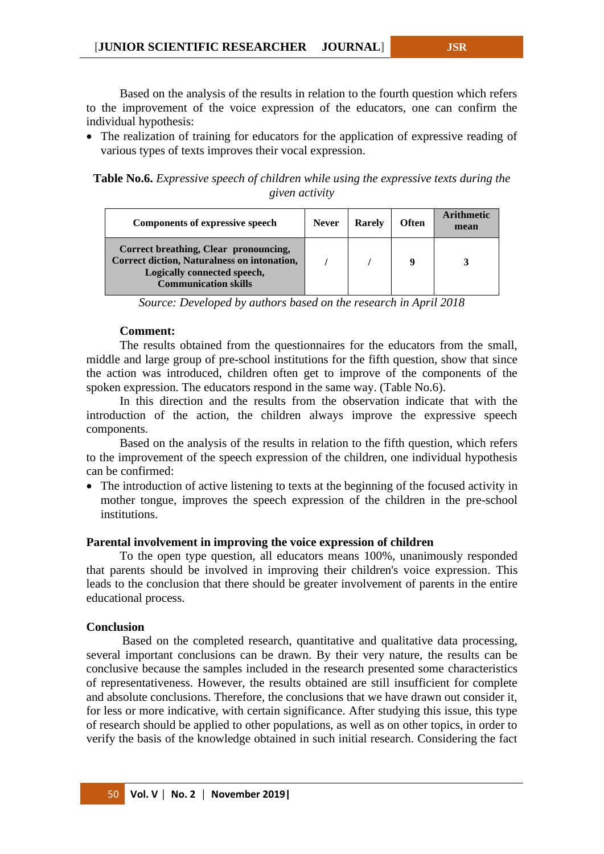Based on the analysis of the results in relation to the fourth question which refers to the improvement of the voice expression of the educators, one can confirm the individual hypothesis:

• The realization of training for educators for the application of expressive reading of various types of texts improves their vocal expression.

**Table No.6.** *Expressive speech of children while using the expressive texts during the given activity*

| <b>Components of expressive speech</b>                                                                                                             | <b>Never</b> | <b>Rarely</b> | <b>Often</b> | A rithmetic<br>mean |
|----------------------------------------------------------------------------------------------------------------------------------------------------|--------------|---------------|--------------|---------------------|
| Correct breathing, Clear pronouncing,<br>Correct diction, Naturalness on intonation,<br>Logically connected speech,<br><b>Communication skills</b> |              |               | q            |                     |

*Source: Developed by authors based on the research in April 2018*

# **Comment:**

The results obtained from the questionnaires for the educators from the small, middle and large group of pre-school institutions for the fifth question, show that since the action was introduced, children often get to improve of the components of the spoken expression. The educators respond in the same way. (Table No.6).

In this direction and the results from the observation indicate that with the introduction of the action, the children always improve the expressive speech components.

Based on the analysis of the results in relation to the fifth question, which refers to the improvement of the speech expression of the children, one individual hypothesis can be confirmed:

• The introduction of active listening to texts at the beginning of the focused activity in mother tongue, improves the speech expression of the children in the pre-school institutions.

#### **Parental involvement in improving the voice expression of children**

To the open type question, all educators means 100%, unanimously responded that parents should be involved in improving their children's voice expression. This leads to the conclusion that there should be greater involvement of parents in the entire educational process.

#### **Conclusion**

Based on the completed research, quantitative and qualitative data processing, several important conclusions can be drawn. By their very nature, the results can be conclusive because the samples included in the research presented some characteristics of representativeness. However, the results obtained are still insufficient for complete and absolute conclusions. Therefore, the conclusions that we have drawn out consider it, for less or more indicative, with certain significance. After studying this issue, this type of research should be applied to other populations, as well as on other topics, in order to verify the basis of the knowledge obtained in such initial research. Considering the fact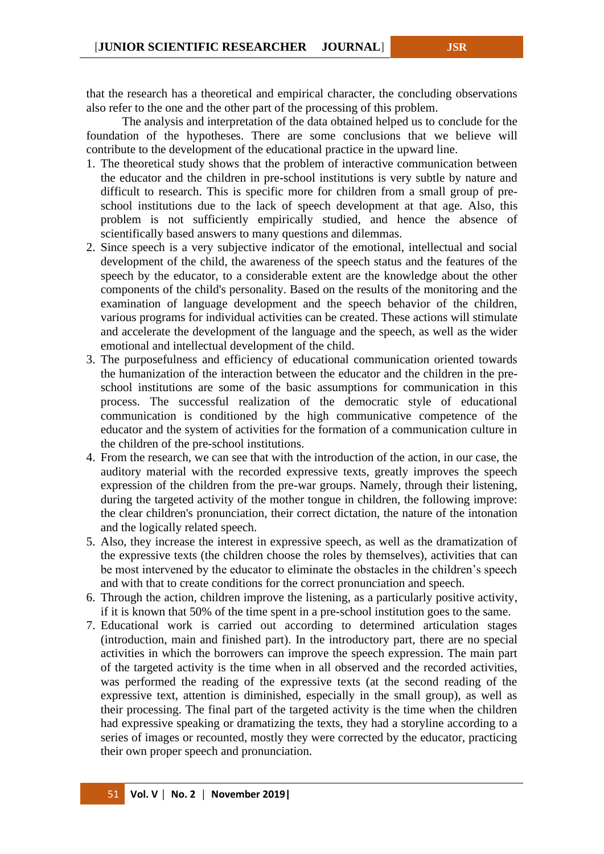that the research has a theoretical and empirical character, the concluding observations also refer to the one and the other part of the processing of this problem.

The analysis and interpretation of the data obtained helped us to conclude for the foundation of the hypotheses. There are some conclusions that we believe will contribute to the development of the educational practice in the upward line.

- 1. The theoretical study shows that the problem of interactive communication between the educator and the children in pre-school institutions is very subtle by nature and difficult to research. This is specific more for children from a small group of preschool institutions due to the lack of speech development at that age. Also, this problem is not sufficiently empirically studied, and hence the absence of scientifically based answers to many questions and dilemmas.
- 2. Since speech is a very subjective indicator of the emotional, intellectual and social development of the child, the awareness of the speech status and the features of the speech by the educator, to a considerable extent are the knowledge about the other components of the child's personality. Based on the results of the monitoring and the examination of language development and the speech behavior of the children, various programs for individual activities can be created. These actions will stimulate and accelerate the development of the language and the speech, as well as the wider emotional and intellectual development of the child.
- 3. The purposefulness and efficiency of educational communication oriented towards the humanization of the interaction between the educator and the children in the preschool institutions are some of the basic assumptions for communication in this process. The successful realization of the democratic style of educational communication is conditioned by the high communicative competence of the educator and the system of activities for the formation of a communication culture in the children of the pre-school institutions.
- 4. From the research, we can see that with the introduction of the action, in our case, the auditory material with the recorded expressive texts, greatly improves the speech expression of the children from the pre-war groups. Namely, through their listening, during the targeted activity of the mother tongue in children, the following improve: the clear children's pronunciation, their correct dictation, the nature of the intonation and the logically related speech.
- 5. Also, they increase the interest in expressive speech, as well as the dramatization of the expressive texts (the children choose the roles by themselves), activities that can be most intervened by the educator to eliminate the obstacles in the children's speech and with that to create conditions for the correct pronunciation and speech.
- 6. Through the action, children improve the listening, as a particularly positive activity, if it is known that 50% of the time spent in a pre-school institution goes to the same.
- 7. Educational work is carried out according to determined articulation stages (introduction, main and finished part). In the introductory part, there are no special activities in which the borrowers can improve the speech expression. The main part of the targeted activity is the time when in all observed and the recorded activities, was performed the reading of the expressive texts (at the second reading of the expressive text, attention is diminished, especially in the small group), as well as their processing. The final part of the targeted activity is the time when the children had expressive speaking or dramatizing the texts, they had a storyline according to a series of images or recounted, mostly they were corrected by the educator, practicing their own proper speech and pronunciation.